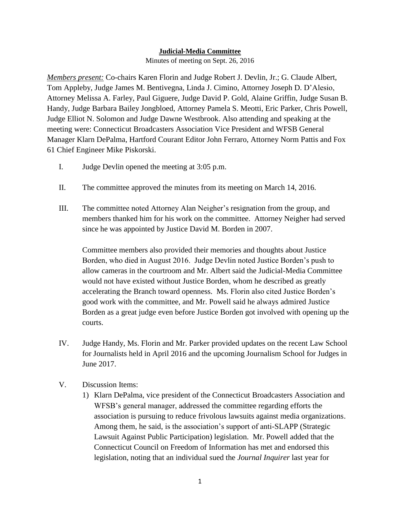## **Judicial-Media Committee**

Minutes of meeting on Sept. 26, 2016

*Members present:* Co-chairs Karen Florin and Judge Robert J. Devlin, Jr.; G. Claude Albert, Tom Appleby, Judge James M. Bentivegna, Linda J. Cimino, Attorney Joseph D. D'Alesio, Attorney Melissa A. Farley, Paul Giguere, Judge David P. Gold, Alaine Griffin, Judge Susan B. Handy, Judge Barbara Bailey Jongbloed, Attorney Pamela S. Meotti, Eric Parker, Chris Powell, Judge Elliot N. Solomon and Judge Dawne Westbrook. Also attending and speaking at the meeting were: Connecticut Broadcasters Association Vice President and WFSB General Manager Klarn DePalma, Hartford Courant Editor John Ferraro, Attorney Norm Pattis and Fox 61 Chief Engineer Mike Piskorski.

- I. Judge Devlin opened the meeting at 3:05 p.m.
- II. The committee approved the minutes from its meeting on March 14, 2016.
- III. The committee noted Attorney Alan Neigher's resignation from the group, and members thanked him for his work on the committee. Attorney Neigher had served since he was appointed by Justice David M. Borden in 2007.

Committee members also provided their memories and thoughts about Justice Borden, who died in August 2016. Judge Devlin noted Justice Borden's push to allow cameras in the courtroom and Mr. Albert said the Judicial-Media Committee would not have existed without Justice Borden, whom he described as greatly accelerating the Branch toward openness. Ms. Florin also cited Justice Borden's good work with the committee, and Mr. Powell said he always admired Justice Borden as a great judge even before Justice Borden got involved with opening up the courts.

- IV. Judge Handy, Ms. Florin and Mr. Parker provided updates on the recent Law School for Journalists held in April 2016 and the upcoming Journalism School for Judges in June 2017.
- V. Discussion Items:
	- 1) Klarn DePalma, vice president of the Connecticut Broadcasters Association and WFSB's general manager, addressed the committee regarding efforts the association is pursuing to reduce frivolous lawsuits against media organizations. Among them, he said, is the association's support of anti-SLAPP (Strategic Lawsuit Against Public Participation) legislation. Mr. Powell added that the Connecticut Council on Freedom of Information has met and endorsed this legislation, noting that an individual sued the *Journal Inquirer* last year for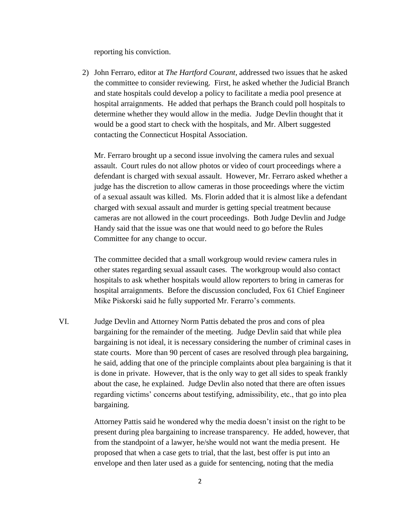reporting his conviction.

2) John Ferraro, editor at *The Hartford Courant*, addressed two issues that he asked the committee to consider reviewing. First, he asked whether the Judicial Branch and state hospitals could develop a policy to facilitate a media pool presence at hospital arraignments. He added that perhaps the Branch could poll hospitals to determine whether they would allow in the media. Judge Devlin thought that it would be a good start to check with the hospitals, and Mr. Albert suggested contacting the Connecticut Hospital Association.

Mr. Ferraro brought up a second issue involving the camera rules and sexual assault. Court rules do not allow photos or video of court proceedings where a defendant is charged with sexual assault. However, Mr. Ferraro asked whether a judge has the discretion to allow cameras in those proceedings where the victim of a sexual assault was killed. Ms. Florin added that it is almost like a defendant charged with sexual assault and murder is getting special treatment because cameras are not allowed in the court proceedings. Both Judge Devlin and Judge Handy said that the issue was one that would need to go before the Rules Committee for any change to occur.

The committee decided that a small workgroup would review camera rules in other states regarding sexual assault cases. The workgroup would also contact hospitals to ask whether hospitals would allow reporters to bring in cameras for hospital arraignments. Before the discussion concluded, Fox 61 Chief Engineer Mike Piskorski said he fully supported Mr. Ferarro's comments.

VI. Judge Devlin and Attorney Norm Pattis debated the pros and cons of plea bargaining for the remainder of the meeting. Judge Devlin said that while plea bargaining is not ideal, it is necessary considering the number of criminal cases in state courts. More than 90 percent of cases are resolved through plea bargaining, he said, adding that one of the principle complaints about plea bargaining is that it is done in private. However, that is the only way to get all sides to speak frankly about the case, he explained. Judge Devlin also noted that there are often issues regarding victims' concerns about testifying, admissibility, etc., that go into plea bargaining.

> Attorney Pattis said he wondered why the media doesn't insist on the right to be present during plea bargaining to increase transparency. He added, however, that from the standpoint of a lawyer, he/she would not want the media present. He proposed that when a case gets to trial, that the last, best offer is put into an envelope and then later used as a guide for sentencing, noting that the media